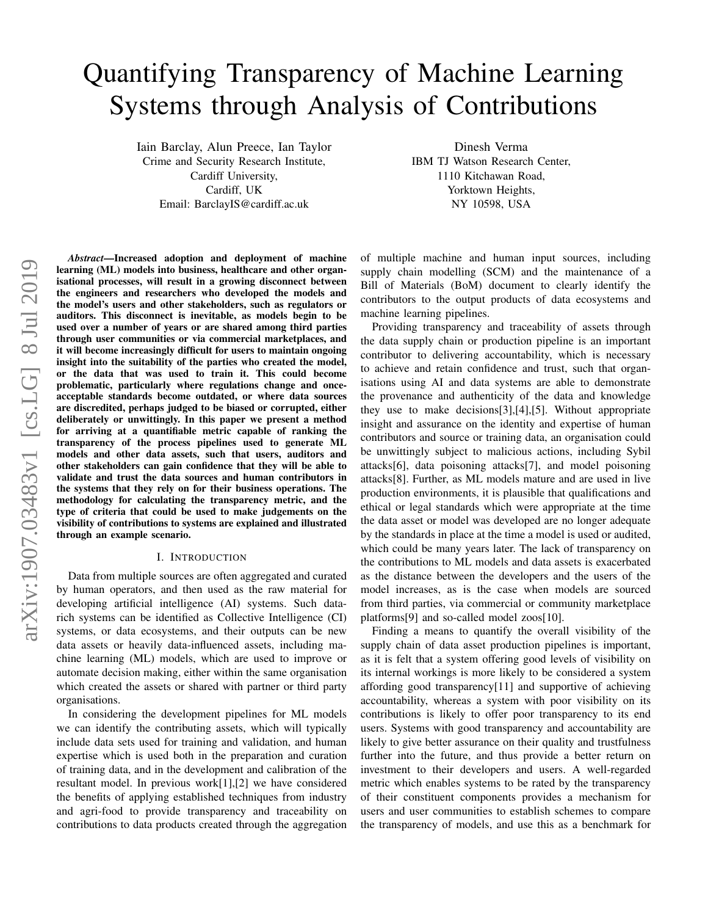# Quantifying Transparency of Machine Learning Systems through Analysis of Contributions

Iain Barclay, Alun Preece, Ian Taylor Crime and Security Research Institute, Cardiff University, Cardiff, UK Email: BarclayIS@cardiff.ac.uk

Dinesh Verma IBM TJ Watson Research Center, 1110 Kitchawan Road, Yorktown Heights, NY 10598, USA

*Abstract*—Increased adoption and deployment of machine learning (ML) models into business, healthcare and other organisational processes, will result in a growing disconnect between the engineers and researchers who developed the models and the model's users and other stakeholders, such as regulators or auditors. This disconnect is inevitable, as models begin to be used over a number of years or are shared among third parties through user communities or via commercial marketplaces, and it will become increasingly difficult for users to maintain ongoing insight into the suitability of the parties who created the model, or the data that was used to train it. This could become problematic, particularly where regulations change and onceacceptable standards become outdated, or where data sources are discredited, perhaps judged to be biased or corrupted, either deliberately or unwittingly. In this paper we present a method for arriving at a quantifiable metric capable of ranking the transparency of the process pipelines used to generate ML models and other data assets, such that users, auditors and other stakeholders can gain confidence that they will be able to validate and trust the data sources and human contributors in the systems that they rely on for their business operations. The methodology for calculating the transparency metric, and the type of criteria that could be used to make judgements on the visibility of contributions to systems are explained and illustrated through an example scenario.

#### I. INTRODUCTION

Data from multiple sources are often aggregated and curated by human operators, and then used as the raw material for developing artificial intelligence (AI) systems. Such datarich systems can be identified as Collective Intelligence (CI) systems, or data ecosystems, and their outputs can be new data assets or heavily data-influenced assets, including machine learning (ML) models, which are used to improve or automate decision making, either within the same organisation which created the assets or shared with partner or third party organisations.

In considering the development pipelines for ML models we can identify the contributing assets, which will typically include data sets used for training and validation, and human expertise which is used both in the preparation and curation of training data, and in the development and calibration of the resultant model. In previous work[\[1\]](#page-5-0),[\[2\]](#page-5-1) we have considered the benefits of applying established techniques from industry and agri-food to provide transparency and traceability on contributions to data products created through the aggregation of multiple machine and human input sources, including supply chain modelling (SCM) and the maintenance of a Bill of Materials (BoM) document to clearly identify the contributors to the output products of data ecosystems and machine learning pipelines.

Providing transparency and traceability of assets through the data supply chain or production pipeline is an important contributor to delivering accountability, which is necessary to achieve and retain confidence and trust, such that organisations using AI and data systems are able to demonstrate the provenance and authenticity of the data and knowledge they use to make decisions[\[3\]](#page-5-2),[\[4\]](#page-5-3),[\[5\]](#page-5-4). Without appropriate insight and assurance on the identity and expertise of human contributors and source or training data, an organisation could be unwittingly subject to malicious actions, including Sybil attacks[\[6\]](#page-5-5), data poisoning attacks[\[7\]](#page-5-6), and model poisoning attacks[\[8\]](#page-5-7). Further, as ML models mature and are used in live production environments, it is plausible that qualifications and ethical or legal standards which were appropriate at the time the data asset or model was developed are no longer adequate by the standards in place at the time a model is used or audited, which could be many years later. The lack of transparency on the contributions to ML models and data assets is exacerbated as the distance between the developers and the users of the model increases, as is the case when models are sourced from third parties, via commercial or community marketplace platforms[\[9\]](#page-5-8) and so-called model zoos[\[10\]](#page-5-9).

Finding a means to quantify the overall visibility of the supply chain of data asset production pipelines is important, as it is felt that a system offering good levels of visibility on its internal workings is more likely to be considered a system affording good transparency[\[11\]](#page-5-10) and supportive of achieving accountability, whereas a system with poor visibility on its contributions is likely to offer poor transparency to its end users. Systems with good transparency and accountability are likely to give better assurance on their quality and trustfulness further into the future, and thus provide a better return on investment to their developers and users. A well-regarded metric which enables systems to be rated by the transparency of their constituent components provides a mechanism for users and user communities to establish schemes to compare the transparency of models, and use this as a benchmark for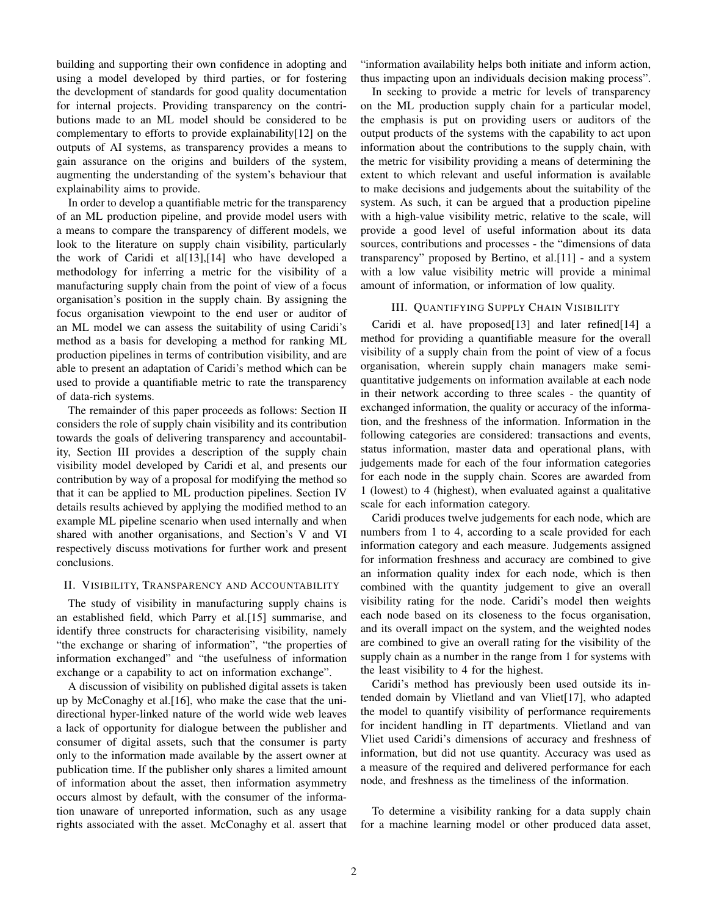building and supporting their own confidence in adopting and using a model developed by third parties, or for fostering the development of standards for good quality documentation for internal projects. Providing transparency on the contributions made to an ML model should be considered to be complementary to efforts to provide explainability[\[12\]](#page-5-11) on the outputs of AI systems, as transparency provides a means to gain assurance on the origins and builders of the system, augmenting the understanding of the system's behaviour that explainability aims to provide.

In order to develop a quantifiable metric for the transparency of an ML production pipeline, and provide model users with a means to compare the transparency of different models, we look to the literature on supply chain visibility, particularly the work of Caridi et al[\[13\]](#page-5-12),[\[14\]](#page-5-13) who have developed a methodology for inferring a metric for the visibility of a manufacturing supply chain from the point of view of a focus organisation's position in the supply chain. By assigning the focus organisation viewpoint to the end user or auditor of an ML model we can assess the suitability of using Caridi's method as a basis for developing a method for ranking ML production pipelines in terms of contribution visibility, and are able to present an adaptation of Caridi's method which can be used to provide a quantifiable metric to rate the transparency of data-rich systems.

The remainder of this paper proceeds as follows: Section [II](#page-1-0) considers the role of supply chain visibility and its contribution towards the goals of delivering transparency and accountability, Section [III](#page-1-1) provides a description of the supply chain visibility model developed by Caridi et al, and presents our contribution by way of a proposal for modifying the method so that it can be applied to ML production pipelines. Section [IV](#page-2-0) details results achieved by applying the modified method to an example ML pipeline scenario when used internally and when shared with another organisations, and Section's [V](#page-4-0) and [VI](#page-4-1) respectively discuss motivations for further work and present conclusions.

## <span id="page-1-0"></span>II. VISIBILITY, TRANSPARENCY AND ACCOUNTABILITY

The study of visibility in manufacturing supply chains is an established field, which Parry et al.[\[15\]](#page-5-14) summarise, and identify three constructs for characterising visibility, namely "the exchange or sharing of information", "the properties of information exchanged" and "the usefulness of information exchange or a capability to act on information exchange".

A discussion of visibility on published digital assets is taken up by McConaghy et al.[\[16\]](#page-5-15), who make the case that the unidirectional hyper-linked nature of the world wide web leaves a lack of opportunity for dialogue between the publisher and consumer of digital assets, such that the consumer is party only to the information made available by the assert owner at publication time. If the publisher only shares a limited amount of information about the asset, then information asymmetry occurs almost by default, with the consumer of the information unaware of unreported information, such as any usage rights associated with the asset. McConaghy et al. assert that

"information availability helps both initiate and inform action, thus impacting upon an individuals decision making process".

In seeking to provide a metric for levels of transparency on the ML production supply chain for a particular model, the emphasis is put on providing users or auditors of the output products of the systems with the capability to act upon information about the contributions to the supply chain, with the metric for visibility providing a means of determining the extent to which relevant and useful information is available to make decisions and judgements about the suitability of the system. As such, it can be argued that a production pipeline with a high-value visibility metric, relative to the scale, will provide a good level of useful information about its data sources, contributions and processes - the "dimensions of data transparency" proposed by Bertino, et al.[\[11\]](#page-5-10) - and a system with a low value visibility metric will provide a minimal amount of information, or information of low quality.

# III. QUANTIFYING SUPPLY CHAIN VISIBILITY

<span id="page-1-1"></span>Caridi et al. have proposed[\[13\]](#page-5-12) and later refined[\[14\]](#page-5-13) a method for providing a quantifiable measure for the overall visibility of a supply chain from the point of view of a focus organisation, wherein supply chain managers make semiquantitative judgements on information available at each node in their network according to three scales - the quantity of exchanged information, the quality or accuracy of the information, and the freshness of the information. Information in the following categories are considered: transactions and events, status information, master data and operational plans, with judgements made for each of the four information categories for each node in the supply chain. Scores are awarded from 1 (lowest) to 4 (highest), when evaluated against a qualitative scale for each information category.

Caridi produces twelve judgements for each node, which are numbers from 1 to 4, according to a scale provided for each information category and each measure. Judgements assigned for information freshness and accuracy are combined to give an information quality index for each node, which is then combined with the quantity judgement to give an overall visibility rating for the node. Caridi's model then weights each node based on its closeness to the focus organisation, and its overall impact on the system, and the weighted nodes are combined to give an overall rating for the visibility of the supply chain as a number in the range from 1 for systems with the least visibility to 4 for the highest.

Caridi's method has previously been used outside its intended domain by Vlietland and van Vliet[\[17\]](#page-5-16), who adapted the model to quantify visibility of performance requirements for incident handling in IT departments. Vlietland and van Vliet used Caridi's dimensions of accuracy and freshness of information, but did not use quantity. Accuracy was used as a measure of the required and delivered performance for each node, and freshness as the timeliness of the information.

To determine a visibility ranking for a data supply chain for a machine learning model or other produced data asset,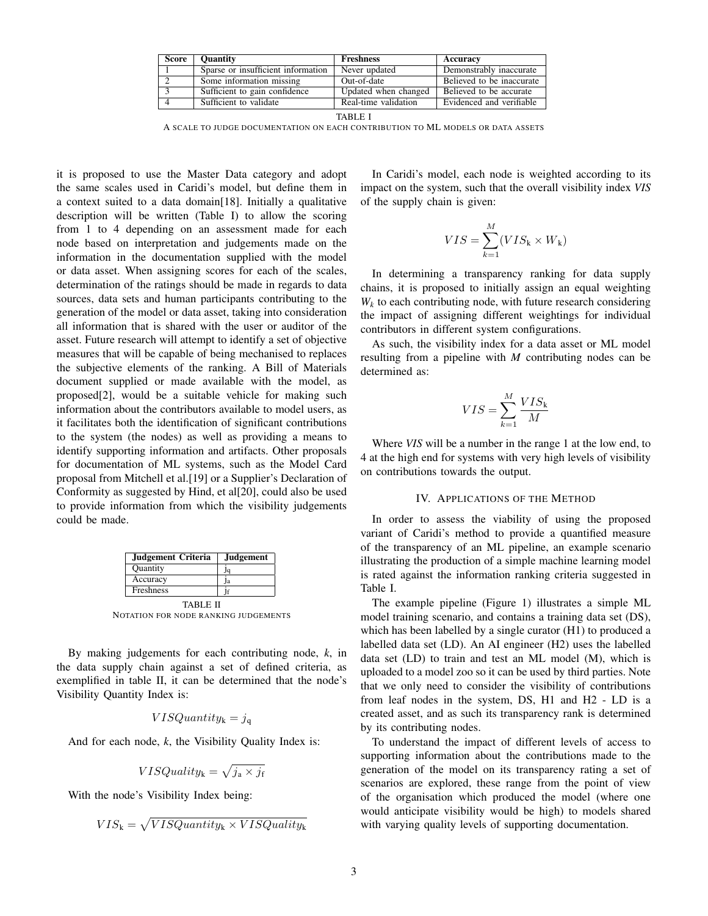| <b>Score</b> | <b>Ouantity</b>                    | <b>Freshness</b>     | Accuracy                  |
|--------------|------------------------------------|----------------------|---------------------------|
|              | Sparse or insufficient information | Never updated        | Demonstrably inaccurate   |
|              | Some information missing           | Out-of-date          | Believed to be inaccurate |
|              | Sufficient to gain confidence      | Updated when changed | Believed to be accurate   |
|              | Sufficient to validate             | Real-time validation | Evidenced and verifiable  |

|--|--|

A SCALE TO JUDGE DOCUMENTATION ON EACH CONTRIBUTION TO ML MODELS OR DATA ASSETS

it is proposed to use the Master Data category and adopt the same scales used in Caridi's model, but define them in a context suited to a data domain[\[18\]](#page-5-17). Initially a qualitative description will be written (Table [I\)](#page-2-1) to allow the scoring from 1 to 4 depending on an assessment made for each node based on interpretation and judgements made on the information in the documentation supplied with the model or data asset. When assigning scores for each of the scales, determination of the ratings should be made in regards to data sources, data sets and human participants contributing to the generation of the model or data asset, taking into consideration all information that is shared with the user or auditor of the asset. Future research will attempt to identify a set of objective measures that will be capable of being mechanised to replaces the subjective elements of the ranking. A Bill of Materials document supplied or made available with the model, as proposed[\[2\]](#page-5-1), would be a suitable vehicle for making such information about the contributors available to model users, as it facilitates both the identification of significant contributions to the system (the nodes) as well as providing a means to identify supporting information and artifacts. Other proposals for documentation of ML systems, such as the Model Card proposal from Mitchell et al.[\[19\]](#page-5-18) or a Supplier's Declaration of Conformity as suggested by Hind, et al[\[20\]](#page-5-19), could also be used to provide information from which the visibility judgements could be made.

| <b>Judgement</b> |
|------------------|
|                  |
| lа               |
|                  |
|                  |

TABLE II NOTATION FOR NODE RANKING JUDGEMENTS

By making judgements for each contributing node, *k*, in the data supply chain against a set of defined criteria, as exemplified in table [II,](#page-2-2) it can be determined that the node's Visibility Quantity Index is:

$$
VISQuantity_{k} = j_{q}
$$

And for each node, *k*, the Visibility Quality Index is:

$$
VISQuality_k = \sqrt{j_a \times j_f}
$$

With the node's Visibility Index being:

$$
VIS_{k} = \sqrt{VISQuantity_{k} \times VISQuality_{k}}
$$

In Caridi's model, each node is weighted according to its impact on the system, such that the overall visibility index *VIS* of the supply chain is given:

<span id="page-2-1"></span>
$$
VIS = \sum_{k=1}^{M} (VIS_k \times W_k)
$$

In determining a transparency ranking for data supply chains, it is proposed to initially assign an equal weighting  $W_k$  to each contributing node, with future research considering the impact of assigning different weightings for individual contributors in different system configurations.

As such, the visibility index for a data asset or ML model resulting from a pipeline with *M* contributing nodes can be determined as:

$$
VIS = \sum_{k=1}^{M} \frac{VIS_k}{M}
$$

Where *VIS* will be a number in the range 1 at the low end, to 4 at the high end for systems with very high levels of visibility on contributions towards the output.

#### IV. APPLICATIONS OF THE METHOD

<span id="page-2-0"></span>In order to assess the viability of using the proposed variant of Caridi's method to provide a quantified measure of the transparency of an ML pipeline, an example scenario illustrating the production of a simple machine learning model is rated against the information ranking criteria suggested in Table [I.](#page-2-1)

<span id="page-2-2"></span>The example pipeline (Figure [1\)](#page-3-0) illustrates a simple ML model training scenario, and contains a training data set (DS), which has been labelled by a single curator (H1) to produced a labelled data set (LD). An AI engineer (H2) uses the labelled data set (LD) to train and test an ML model (M), which is uploaded to a model zoo so it can be used by third parties. Note that we only need to consider the visibility of contributions from leaf nodes in the system, DS, H1 and H2 - LD is a created asset, and as such its transparency rank is determined by its contributing nodes.

To understand the impact of different levels of access to supporting information about the contributions made to the generation of the model on its transparency rating a set of scenarios are explored, these range from the point of view of the organisation which produced the model (where one would anticipate visibility would be high) to models shared with varying quality levels of supporting documentation.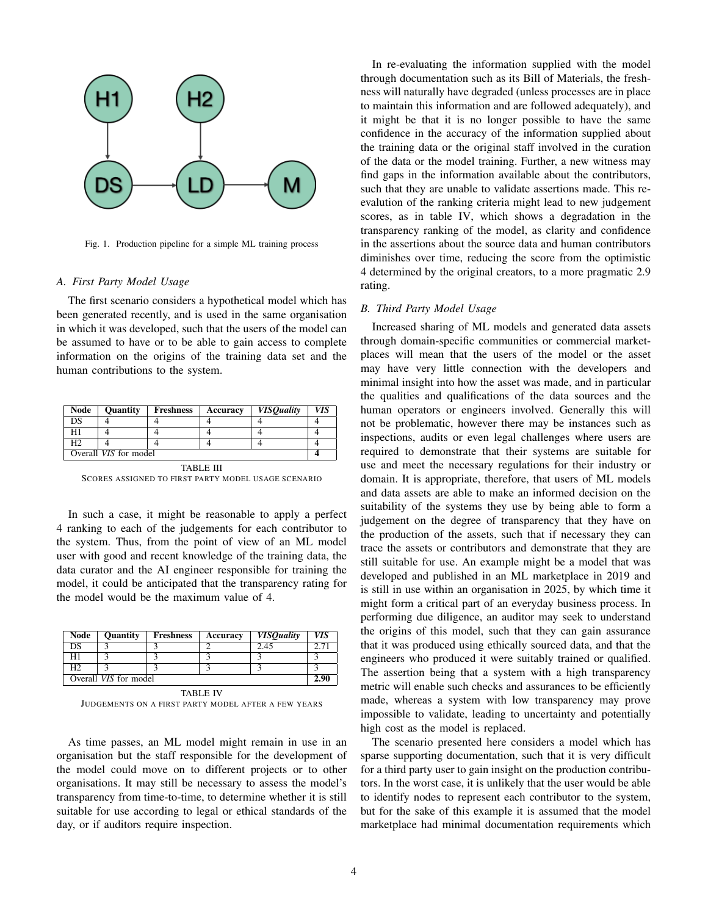

Fig. 1. Production pipeline for a simple ML training process

#### *A. First Party Model Usage*

The first scenario considers a hypothetical model which has been generated recently, and is used in the same organisation in which it was developed, such that the users of the model can be assumed to have or to be able to gain access to complete information on the origins of the training data set and the human contributions to the system.

| <b>Node</b>           | <b>Ouantity</b> | <b>Freshness</b> | Accuracy | <b>VISQuality</b> | VIS |
|-----------------------|-----------------|------------------|----------|-------------------|-----|
| DS                    |                 |                  |          |                   |     |
|                       |                 |                  |          |                   |     |
| H <sub>2</sub>        |                 |                  |          |                   |     |
| Overall VIS for model |                 |                  |          |                   |     |

TABLE III SCORES ASSIGNED TO FIRST PARTY MODEL USAGE SCENARIO

In such a case, it might be reasonable to apply a perfect 4 ranking to each of the judgements for each contributor to the system. Thus, from the point of view of an ML model user with good and recent knowledge of the training data, the data curator and the AI engineer responsible for training the model, it could be anticipated that the transparency rating for the model would be the maximum value of 4.

| Node                  | <b>Quantity</b> | Freshness | Accuracy | <b>VISQuality</b> | VIS |  |
|-----------------------|-----------------|-----------|----------|-------------------|-----|--|
| DS                    |                 |           |          | 2.45              |     |  |
| H1                    |                 |           |          |                   |     |  |
| H <sub>2</sub>        |                 |           |          |                   |     |  |
| Overall VIS for model |                 |           |          |                   |     |  |
| <b>TABLE IV</b>       |                 |           |          |                   |     |  |

JUDGEMENTS ON A FIRST PARTY MODEL AFTER A FEW YEARS

As time passes, an ML model might remain in use in an organisation but the staff responsible for the development of the model could move on to different projects or to other organisations. It may still be necessary to assess the model's transparency from time-to-time, to determine whether it is still suitable for use according to legal or ethical standards of the day, or if auditors require inspection.

In re-evaluating the information supplied with the model through documentation such as its Bill of Materials, the freshness will naturally have degraded (unless processes are in place to maintain this information and are followed adequately), and it might be that it is no longer possible to have the same confidence in the accuracy of the information supplied about the training data or the original staff involved in the curation of the data or the model training. Further, a new witness may find gaps in the information available about the contributors, such that they are unable to validate assertions made. This reevalution of the ranking criteria might lead to new judgement scores, as in table [IV,](#page-3-1) which shows a degradation in the transparency ranking of the model, as clarity and confidence in the assertions about the source data and human contributors diminishes over time, reducing the score from the optimistic 4 determined by the original creators, to a more pragmatic 2.9 rating.

## <span id="page-3-0"></span>*B. Third Party Model Usage*

Increased sharing of ML models and generated data assets through domain-specific communities or commercial marketplaces will mean that the users of the model or the asset may have very little connection with the developers and minimal insight into how the asset was made, and in particular the qualities and qualifications of the data sources and the human operators or engineers involved. Generally this will not be problematic, however there may be instances such as inspections, audits or even legal challenges where users are required to demonstrate that their systems are suitable for use and meet the necessary regulations for their industry or domain. It is appropriate, therefore, that users of ML models and data assets are able to make an informed decision on the suitability of the systems they use by being able to form a judgement on the degree of transparency that they have on the production of the assets, such that if necessary they can trace the assets or contributors and demonstrate that they are still suitable for use. An example might be a model that was developed and published in an ML marketplace in 2019 and is still in use within an organisation in 2025, by which time it might form a critical part of an everyday business process. In performing due diligence, an auditor may seek to understand the origins of this model, such that they can gain assurance that it was produced using ethically sourced data, and that the engineers who produced it were suitably trained or qualified. The assertion being that a system with a high transparency metric will enable such checks and assurances to be efficiently made, whereas a system with low transparency may prove impossible to validate, leading to uncertainty and potentially high cost as the model is replaced.

<span id="page-3-1"></span>The scenario presented here considers a model which has sparse supporting documentation, such that it is very difficult for a third party user to gain insight on the production contributors. In the worst case, it is unlikely that the user would be able to identify nodes to represent each contributor to the system, but for the sake of this example it is assumed that the model marketplace had minimal documentation requirements which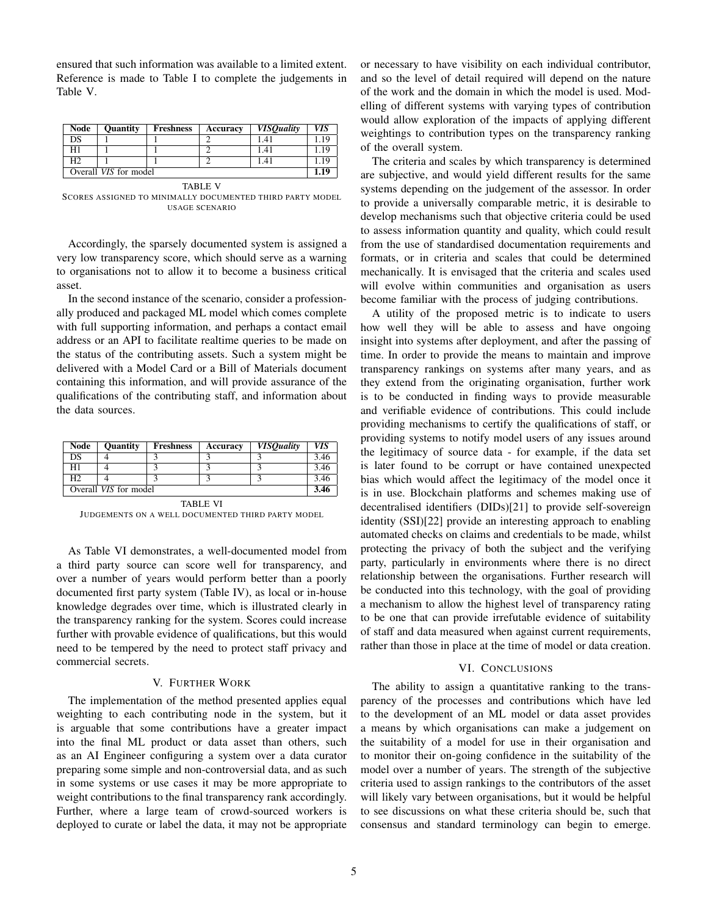ensured that such information was available to a limited extent. Reference is made to Table [I](#page-2-1) to complete the judgements in Table [V.](#page-4-2)

| Node                  | <b>Quantity</b> | <b>Freshness</b> | Accuracy | <b>VISOuality</b> | VIS  |
|-----------------------|-----------------|------------------|----------|-------------------|------|
| DS                    |                 |                  |          | 1.41              | .19  |
| H1                    |                 |                  |          | 1.41              | 19   |
| H2                    |                 |                  |          | 1.41              | .19  |
| Overall VIS for model |                 |                  |          |                   | 1.19 |

TABLE V SCORES ASSIGNED TO MINIMALLY DOCUMENTED THIRD PARTY MODEL USAGE SCENARIO

Accordingly, the sparsely documented system is assigned a very low transparency score, which should serve as a warning to organisations not to allow it to become a business critical asset.

In the second instance of the scenario, consider a professionally produced and packaged ML model which comes complete with full supporting information, and perhaps a contact email address or an API to facilitate realtime queries to be made on the status of the contributing assets. Such a system might be delivered with a Model Card or a Bill of Materials document containing this information, and will provide assurance of the qualifications of the contributing staff, and information about the data sources.

| Node                  | <b>Quantity</b> | <b>Freshness</b> | Accuracy | <b>VISOuality</b> | VIS  |
|-----------------------|-----------------|------------------|----------|-------------------|------|
| DS                    |                 |                  |          |                   | 3.46 |
| H1                    |                 |                  |          |                   | 3.46 |
| H2                    |                 |                  |          |                   | 3.46 |
| Overall VIS for model |                 |                  |          |                   | 3.46 |
| <b>TABLE VI</b>       |                 |                  |          |                   |      |

JUDGEMENTS ON A WELL DOCUMENTED THIRD PARTY MODEL

As Table [VI](#page-4-3) demonstrates, a well-documented model from a third party source can score well for transparency, and over a number of years would perform better than a poorly documented first party system (Table [IV\)](#page-3-1), as local or in-house knowledge degrades over time, which is illustrated clearly in the transparency ranking for the system. Scores could increase further with provable evidence of qualifications, but this would need to be tempered by the need to protect staff privacy and commercial secrets.

### V. FURTHER WORK

<span id="page-4-0"></span>The implementation of the method presented applies equal weighting to each contributing node in the system, but it is arguable that some contributions have a greater impact into the final ML product or data asset than others, such as an AI Engineer configuring a system over a data curator preparing some simple and non-controversial data, and as such in some systems or use cases it may be more appropriate to weight contributions to the final transparency rank accordingly. Further, where a large team of crowd-sourced workers is deployed to curate or label the data, it may not be appropriate

or necessary to have visibility on each individual contributor, and so the level of detail required will depend on the nature of the work and the domain in which the model is used. Modelling of different systems with varying types of contribution would allow exploration of the impacts of applying different weightings to contribution types on the transparency ranking of the overall system.

<span id="page-4-2"></span>The criteria and scales by which transparency is determined are subjective, and would yield different results for the same systems depending on the judgement of the assessor. In order to provide a universally comparable metric, it is desirable to develop mechanisms such that objective criteria could be used to assess information quantity and quality, which could result from the use of standardised documentation requirements and formats, or in criteria and scales that could be determined mechanically. It is envisaged that the criteria and scales used will evolve within communities and organisation as users become familiar with the process of judging contributions.

<span id="page-4-3"></span>A utility of the proposed metric is to indicate to users how well they will be able to assess and have ongoing insight into systems after deployment, and after the passing of time. In order to provide the means to maintain and improve transparency rankings on systems after many years, and as they extend from the originating organisation, further work is to be conducted in finding ways to provide measurable and verifiable evidence of contributions. This could include providing mechanisms to certify the qualifications of staff, or providing systems to notify model users of any issues around the legitimacy of source data - for example, if the data set is later found to be corrupt or have contained unexpected bias which would affect the legitimacy of the model once it is in use. Blockchain platforms and schemes making use of decentralised identifiers (DIDs)[\[21\]](#page-5-20) to provide self-sovereign identity (SSI)[\[22\]](#page-5-21) provide an interesting approach to enabling automated checks on claims and credentials to be made, whilst protecting the privacy of both the subject and the verifying party, particularly in environments where there is no direct relationship between the organisations. Further research will be conducted into this technology, with the goal of providing a mechanism to allow the highest level of transparency rating to be one that can provide irrefutable evidence of suitability of staff and data measured when against current requirements, rather than those in place at the time of model or data creation.

### VI. CONCLUSIONS

<span id="page-4-1"></span>The ability to assign a quantitative ranking to the transparency of the processes and contributions which have led to the development of an ML model or data asset provides a means by which organisations can make a judgement on the suitability of a model for use in their organisation and to monitor their on-going confidence in the suitability of the model over a number of years. The strength of the subjective criteria used to assign rankings to the contributors of the asset will likely vary between organisations, but it would be helpful to see discussions on what these criteria should be, such that consensus and standard terminology can begin to emerge.